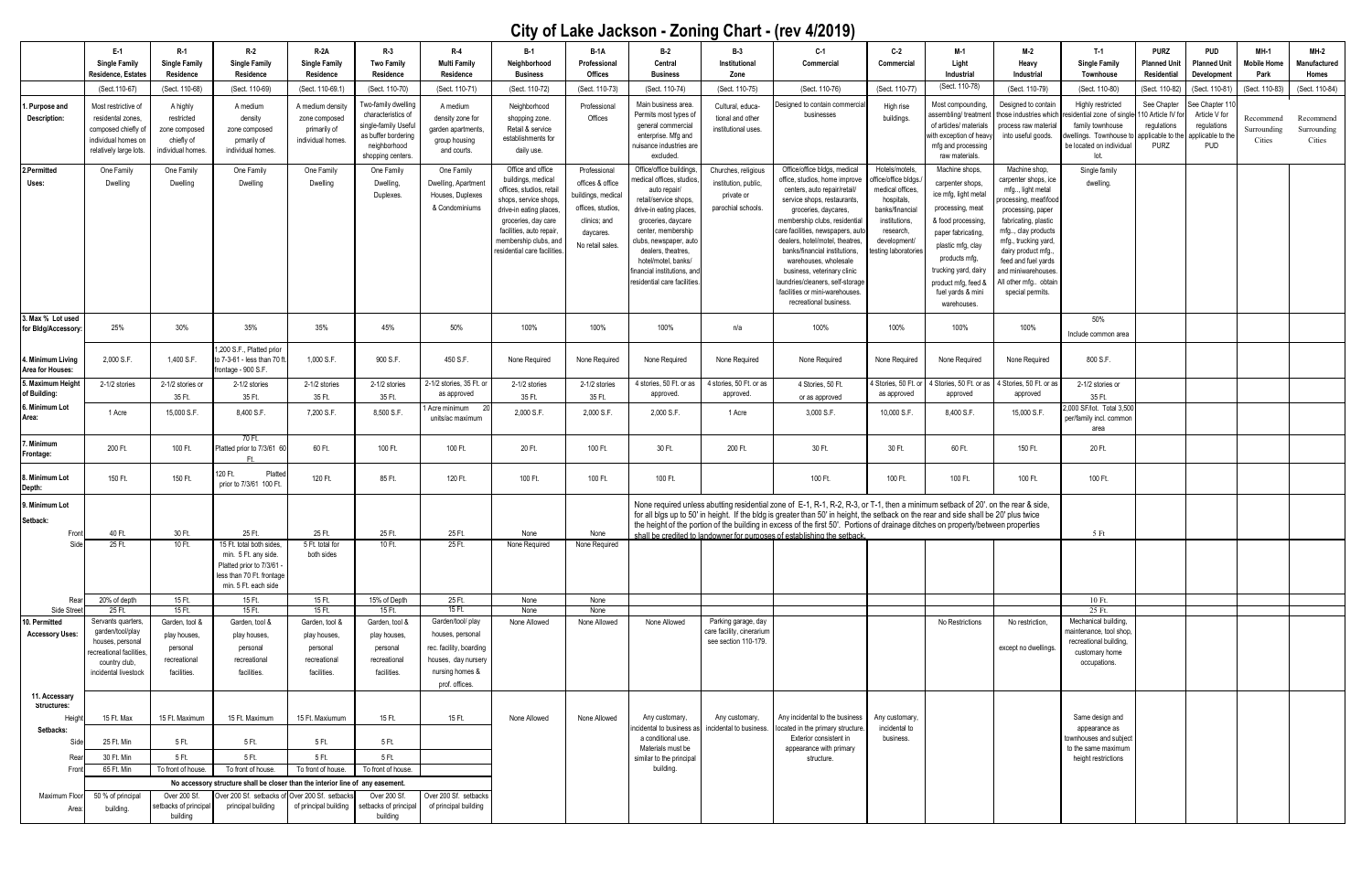|                                         | E-1                                     | $R-1$                                                                                                                                 | R-2                                                                  | <b>R-2A</b>                    | $R-3$                                | $R-4$                                          | $B-1$                                           | <b>B-1A</b>               | $B-2$                                          | $B-3$                                                                                                                                                                                                         | $C-1$                                                         | C-2                                    | M-1                                          | M-2                                        | T-1                                                 | <b>PURZ</b>                     | <b>PUD</b>                      | $MH-1$                 | <b>MH-2</b>             |
|-----------------------------------------|-----------------------------------------|---------------------------------------------------------------------------------------------------------------------------------------|----------------------------------------------------------------------|--------------------------------|--------------------------------------|------------------------------------------------|-------------------------------------------------|---------------------------|------------------------------------------------|---------------------------------------------------------------------------------------------------------------------------------------------------------------------------------------------------------------|---------------------------------------------------------------|----------------------------------------|----------------------------------------------|--------------------------------------------|-----------------------------------------------------|---------------------------------|---------------------------------|------------------------|-------------------------|
|                                         | <b>Single Family</b>                    | <b>Single Family</b>                                                                                                                  | <b>Single Family</b>                                                 | <b>Single Family</b>           | <b>Two Family</b>                    | <b>Multi Family</b>                            | Neighborhood                                    | Professional              | Central                                        | Institutional                                                                                                                                                                                                 | Commercial                                                    | Commercial                             | Light                                        | Heavy                                      | <b>Single Family</b>                                | Planned Uni <sup>.</sup>        | <b>Planned Unit</b>             | <b>Mobile Home</b>     | Manufactured            |
|                                         | Residence, Estates<br>(Sect. 110-67)    | Residence<br>(Sect. 110-68)                                                                                                           | Residence<br>(Sect. 110-69)                                          | Residence<br>(Sect. 110-69.1   | Residence<br>(Sect. 110-70)          | Residence<br>(Sect. 110-71)                    | <b>Business</b><br>(Sect. 110-72)               | Offices<br>(Sect. 110-73) | <b>Business</b><br>(Sect. 110-74)              | Zone<br>(Sect. 110-75)                                                                                                                                                                                        | (Sect. 110-76)                                                | (Sect. 110-77)                         | Industrial<br>(Sect. 110-78)                 | Industrial<br>(Sect. 110-79)               | Townhouse<br>(Sect. 110-80)                         | Residential<br>Sect. 110-82     | Development<br>(Sect. 110-81    | Park<br>(Sect. 110-83) | Homes<br>(Sect. 110-84) |
|                                         | Most restrictive of                     |                                                                                                                                       | A medium                                                             | A medium density               | wo-family dwelling                   | A medium                                       |                                                 | Professional              | Main business area.                            |                                                                                                                                                                                                               | Designed to contain commercia                                 | High rise                              | Most compounding,                            | Designed to contain                        | Highly restricted                                   | See Chapter                     | ee Chapter 11                   |                        |                         |
| . Purpose and<br>Description:           | residental zones.                       | A highly<br>restricted                                                                                                                | density                                                              | zone composed                  | characteristics of                   | density zone for                               | Neighborhood<br>shopping zone.                  | Offices                   | Permits most types of                          | Cultural, educa-<br>tional and other                                                                                                                                                                          | businesses                                                    | buildings.                             | assembling/ treatment those industries which |                                            | esidential zone of single-                          | 10 Article IV for               | Article V for                   | Recommend              | Recommend               |
|                                         | composed chiefly of                     | zone composed                                                                                                                         | zone composed                                                        | primarily of                   | single-family Useful                 | garden apartments                              | Retail & service                                |                           | general commercial                             | institutional uses.                                                                                                                                                                                           |                                                               |                                        | of articles/ materials                       | process raw material                       | family townhouse                                    | regulations                     | regulations                     | Surrounding            | Surrounding             |
|                                         | individual homes or                     | chiefly of                                                                                                                            | prmarily of                                                          | individual homes.              | as buffer bordering<br>neighborhood  | group housing                                  | establishments for                              |                           | enterprise. Mfg and<br>nuisance industries are |                                                                                                                                                                                                               |                                                               |                                        | with exception of heav<br>mfg and processing | into useful goods.                         | dwellings. Townhouse to<br>be located on individual | pplicable to the<br><b>PURZ</b> | applicable to the<br><b>PUD</b> | Cities                 | Cities                  |
|                                         | relatively large lots.                  | individual homes                                                                                                                      | individual homes.                                                    |                                | shopping centers                     | and courts.                                    | daily use.                                      |                           | excluded.                                      |                                                                                                                                                                                                               |                                                               |                                        | raw materials.                               |                                            | Int                                                 |                                 |                                 |                        |                         |
| 2.Permitted                             | One Family                              | One Family                                                                                                                            | One Family                                                           | One Family                     | One Family                           | One Family                                     | Office and office                               | Professional              | Office/office buildings                        | Churches, religious                                                                                                                                                                                           | Office/office bldgs, medical                                  | Hotels/motels                          | Machine shops.                               | Machine shop,                              | Single family                                       |                                 |                                 |                        |                         |
| Uses:                                   | Dwelling                                | Dwelling                                                                                                                              | Dwelling                                                             | Dwelling                       | Dwelling,                            | Dwelling, Apartment                            | buildings, medical<br>offices, studios, retail  | offices & office          | nedical offices, studios<br>auto repair/       | institution, public,                                                                                                                                                                                          | office, studios, home improve<br>centers, auto repair/retail/ | ffice/office bldgs<br>medical offices, | carpenter shops,                             | carpenter shops, ice<br>mfg, light metal   | dwelling.                                           |                                 |                                 |                        |                         |
|                                         |                                         |                                                                                                                                       |                                                                      |                                | <b>Duplexes</b>                      | Houses, Duplexes                               | shops, service shops,                           | buildings, medical        | retail/service shops.                          | private or                                                                                                                                                                                                    | service shops, restaurants                                    | hospitals,                             | ice mfg, light metal                         | rocessing, meat\food                       |                                                     |                                 |                                 |                        |                         |
|                                         |                                         |                                                                                                                                       |                                                                      |                                |                                      | & Condominiums                                 | drive-in eating places                          | offices, studios,         | drive-in eating places,                        | parochial schools.                                                                                                                                                                                            | groceries, daycares,<br>membership clubs, residential         | banks/financial<br>institutions.       | processing, meat                             | processing, paper                          |                                                     |                                 |                                 |                        |                         |
|                                         |                                         |                                                                                                                                       |                                                                      |                                |                                      |                                                | groceries, day care<br>facilities, auto repair, | clinics; and<br>daycares. | groceries, daycare<br>center, membership       |                                                                                                                                                                                                               | care facilities, newspapers, auto                             | research,                              | & food processing,<br>paper fabricating,     | fabricating, plastic<br>mfg, clay products |                                                     |                                 |                                 |                        |                         |
|                                         |                                         |                                                                                                                                       |                                                                      |                                |                                      |                                                | membership clubs, and                           | No retail sales           | clubs, newspaper, auto                         |                                                                                                                                                                                                               | dealers, hotel/motel, theatres,                               | development                            | plastic mfg, clay                            | mfg., trucking yard,                       |                                                     |                                 |                                 |                        |                         |
|                                         |                                         |                                                                                                                                       |                                                                      |                                |                                      |                                                | esidential care facilities                      |                           | dealers, theatres,<br>hotel/motel, banks/      |                                                                                                                                                                                                               | banks/financial institutions,<br>warehouses, wholesale        | sting laboratories                     | products mfg,                                | dairy product mfg.<br>feed and fuel yards  |                                                     |                                 |                                 |                        |                         |
|                                         |                                         |                                                                                                                                       |                                                                      |                                |                                      |                                                |                                                 |                           | inancial institutions, an                      |                                                                                                                                                                                                               | business, veterinary clinic                                   |                                        | trucking yard, dain                          | ınd miniwarehouses                         |                                                     |                                 |                                 |                        |                         |
|                                         |                                         |                                                                                                                                       |                                                                      |                                |                                      |                                                |                                                 |                           | residential care facilities                    |                                                                                                                                                                                                               | aundries/cleaners, self-storage                               |                                        | product mfg, feed                            | l other mfg obtair                         |                                                     |                                 |                                 |                        |                         |
|                                         |                                         |                                                                                                                                       |                                                                      |                                |                                      |                                                |                                                 |                           |                                                |                                                                                                                                                                                                               | facilities or mini-warehouses.<br>recreational business.      |                                        | tuel yards & mini<br>warehouses.             | special permits.                           |                                                     |                                 |                                 |                        |                         |
| 3. Max % Lot used                       |                                         |                                                                                                                                       |                                                                      |                                |                                      |                                                |                                                 |                           |                                                |                                                                                                                                                                                                               |                                                               |                                        |                                              |                                            | 50%                                                 |                                 |                                 |                        |                         |
| for Bldg/Accessory                      | 25%                                     | 30%                                                                                                                                   | 35%                                                                  | 35%                            | 45%                                  | 50%                                            | 100%                                            | 100%                      | 100%                                           | n/a                                                                                                                                                                                                           | 100%                                                          | 100%                                   | 100%                                         | 100%                                       | Include common area                                 |                                 |                                 |                        |                         |
|                                         |                                         |                                                                                                                                       | 1,200 S.F., Platted prior                                            |                                |                                      |                                                |                                                 |                           |                                                |                                                                                                                                                                                                               |                                                               |                                        |                                              |                                            |                                                     |                                 |                                 |                        |                         |
| . Minimum Living                        | 2,000 S.F.                              | 1,400 S.F.                                                                                                                            | to 7-3-61 - less than 70 ft                                          | 1,000 S.F.                     | 900 S.F.                             | 450 S.F.                                       | None Required                                   | None Required             | None Required                                  | None Required                                                                                                                                                                                                 | None Required                                                 | None Required                          | None Required                                | None Required                              | 800 S.F.                                            |                                 |                                 |                        |                         |
| Area for Houses:<br>5. Maximum Heigh    |                                         |                                                                                                                                       | frontage - 900 S.F.                                                  |                                |                                      | 2-1/2 stories, 35 Ft. or                       |                                                 |                           | 4 stories, 50 Ft. or as                        | 4 stories, 50 Ft. or as                                                                                                                                                                                       |                                                               | 1 Stories, 50 Ft. or                   | Stories, 50 Ft. or                           | Stories, 50 Ft. or as                      |                                                     |                                 |                                 |                        |                         |
| of Building:                            | 2-1/2 stories                           | 2-1/2 stories or<br>35 Ft.                                                                                                            | 2-1/2 stories<br>35 Ft.                                              | 2-1/2 stories<br>35 Ft.        | 2-1/2 stories<br>35 Ft.              | as approved                                    | 2-1/2 stories<br>35 Ft.                         | 2-1/2 stories<br>35 Ft.   | approved.                                      | approved.                                                                                                                                                                                                     | 4 Stories, 50 Ft.<br>or as approved                           | as approved                            | approved                                     | approved                                   | 2-1/2 stories or<br>35 Ft.                          |                                 |                                 |                        |                         |
| . Minimum Lot                           | 1 Acre                                  | 15,000 S.F.                                                                                                                           | 8,400 S.F.                                                           | 7,200 S.F.                     | 8,500 S.F.                           | Acre minimum                                   | 2,000 S.F.                                      | 2,000 S.F.                | 2,000 S.F.                                     | 1 Acre                                                                                                                                                                                                        | 3,000 S.F.                                                    | 10,000 S.F.                            | 8,400 S.F.                                   | 15,000 S.F.                                | 2,000 SF/lot. Total 3,500                           |                                 |                                 |                        |                         |
| Area:                                   |                                         |                                                                                                                                       |                                                                      |                                |                                      | units/ac maximum                               |                                                 |                           |                                                |                                                                                                                                                                                                               |                                                               |                                        |                                              |                                            | per/family incl. common                             |                                 |                                 |                        |                         |
| <b>Minimum</b>                          |                                         |                                                                                                                                       | 70 Ft.                                                               |                                |                                      |                                                |                                                 |                           |                                                |                                                                                                                                                                                                               |                                                               |                                        |                                              |                                            | area                                                |                                 |                                 |                        |                         |
| Frontage:                               | 200 Ft.                                 | 100 Ft.                                                                                                                               | Platted prior to 7/3/61 60                                           | 60 Ft.                         | 100 Ft.                              | 100 Ft.                                        | 20 Ft.                                          | 100 Ft.                   | 30 Ft.                                         | 200 Ft.                                                                                                                                                                                                       | 30 Ft.                                                        | 30 Ft.                                 | 60 Ft.                                       | 150 Ft.                                    | 20 Ft.                                              |                                 |                                 |                        |                         |
|                                         |                                         |                                                                                                                                       | 120 Ft.<br>Platted                                                   |                                |                                      |                                                |                                                 |                           |                                                |                                                                                                                                                                                                               |                                                               |                                        |                                              |                                            |                                                     |                                 |                                 |                        |                         |
| <b>Minimum Lot</b><br>Depth:            | 150 Ft.                                 | 150 Ft.                                                                                                                               | prior to 7/3/61 100 Ft.                                              | 120 Ft.                        | 85 Ft.                               | 120 Ft.                                        | 100 Ft.                                         | 100 Ft.                   | 100 Ft.                                        |                                                                                                                                                                                                               | 100 Ft.                                                       | 100 Ft.                                | 100 Ft.                                      | 100 Ft.                                    | 100 Ft.                                             |                                 |                                 |                        |                         |
| Minimum Lot                             |                                         | None required unless abutting residential zone of E-1, R-1, R-2, R-3, or T-1, then a minimum setback of 20'. on the rear & side,      |                                                                      |                                |                                      |                                                |                                                 |                           |                                                |                                                                                                                                                                                                               |                                                               |                                        |                                              |                                            |                                                     |                                 |                                 |                        |                         |
| Setback:                                |                                         | for all blgs up to 50' in height. If the bldg is greater than 50' in height, the setback on the rear and side shall be 20' plus twice |                                                                      |                                |                                      |                                                |                                                 |                           |                                                |                                                                                                                                                                                                               |                                                               |                                        |                                              |                                            |                                                     |                                 |                                 |                        |                         |
| Front                                   | 40 Ft.                                  | 30 Ft.                                                                                                                                | 25 Ft.                                                               | 25 Ft.                         | 25 Ft.                               | 25 Ft.                                         | None                                            | None                      |                                                | the height of the portion of the building in excess of the first 50'. Portions of drainage ditches on property/between properties<br>shall be credited to landowner for purposes of establishing the setback. |                                                               | 5 Ft                                   |                                              |                                            |                                                     |                                 |                                 |                        |                         |
| Side                                    | 25 Ft.                                  | 10 Ft.                                                                                                                                | 15 Ft. total both sides,                                             | 5 Ft. total for                | 10 Ft.                               | 25 Ft.                                         | None Required                                   | None Required             |                                                |                                                                                                                                                                                                               |                                                               |                                        |                                              |                                            |                                                     |                                 |                                 |                        |                         |
|                                         |                                         |                                                                                                                                       | min. 5 Ft. any side.                                                 | both sides                     |                                      |                                                |                                                 |                           |                                                |                                                                                                                                                                                                               |                                                               |                                        |                                              |                                            |                                                     |                                 |                                 |                        |                         |
|                                         |                                         |                                                                                                                                       | Platted prior to 7/3/61 -<br>less than 70 Ft. frontage               |                                |                                      |                                                |                                                 |                           |                                                |                                                                                                                                                                                                               |                                                               |                                        |                                              |                                            |                                                     |                                 |                                 |                        |                         |
|                                         |                                         |                                                                                                                                       | min. 5 Ft. each side                                                 |                                |                                      |                                                |                                                 |                           |                                                |                                                                                                                                                                                                               |                                                               |                                        |                                              |                                            |                                                     |                                 |                                 |                        |                         |
|                                         | 20% of depth                            | 15 Ft.                                                                                                                                | 15 Ft.                                                               | 15 Ft.                         | 15% of Depth                         | 25 Ft.                                         | None                                            | None                      |                                                |                                                                                                                                                                                                               |                                                               |                                        |                                              |                                            | 10 Ft.                                              |                                 |                                 |                        |                         |
| Side Stree                              | 25 Ft.<br>Servants quarters,            | $15$ Ft.                                                                                                                              | $15$ Ft.                                                             | $15$ Ft.                       | 15 Ft.                               | 15 Ft.<br>Garden/tool/ play                    | None                                            | None                      |                                                | Parking garage, day                                                                                                                                                                                           |                                                               |                                        |                                              |                                            | 25 Ft.<br>Mechanical building,                      |                                 |                                 |                        |                         |
| 10. Permitted<br><b>Accessory Uses:</b> | garden/tool/play                        | Garden, tool &<br>play houses,                                                                                                        | Garden, tool &<br>play houses,                                       | Garden, tool &<br>play houses, | Garden, tool &<br>play houses,       | houses, personal                               | None Allowed                                    | None Allowed              | None Allowed                                   | care facility, cinerarium                                                                                                                                                                                     |                                                               |                                        | No Restrictions                              | No restriction,                            | maintenance, tool shop,                             |                                 |                                 |                        |                         |
|                                         | houses, personal                        | personal                                                                                                                              | personal                                                             | personal                       | personal                             | rec. facility, boarding                        |                                                 |                           |                                                | see section 110-179.                                                                                                                                                                                          |                                                               |                                        |                                              | except no dwellings.                       | recreational building,                              |                                 |                                 |                        |                         |
|                                         | ecreational facilities<br>country club, | recreational                                                                                                                          | recreational                                                         | recreational                   | recreational                         | houses, day nursery                            |                                                 |                           |                                                |                                                                                                                                                                                                               |                                                               |                                        |                                              |                                            | customary home<br>occupations.                      |                                 |                                 |                        |                         |
|                                         | incidental livestock                    | facilities.                                                                                                                           | facilities.                                                          | facilities.                    | facilities.                          | nursing homes &                                |                                                 |                           |                                                |                                                                                                                                                                                                               |                                                               |                                        |                                              |                                            |                                                     |                                 |                                 |                        |                         |
|                                         |                                         |                                                                                                                                       |                                                                      |                                |                                      | prof. offices.                                 |                                                 |                           |                                                |                                                                                                                                                                                                               |                                                               |                                        |                                              |                                            |                                                     |                                 |                                 |                        |                         |
| 11. Accessary<br>Structures:            |                                         |                                                                                                                                       |                                                                      |                                |                                      |                                                |                                                 |                           |                                                |                                                                                                                                                                                                               |                                                               |                                        |                                              |                                            |                                                     |                                 |                                 |                        |                         |
| Heigh                                   | 15 Ft. Max                              | 15 Ft. Maximum                                                                                                                        | 15 Ft. Maximum                                                       | 15 Ft. Maxiumum                | 15 Ft.                               | 15 Ft.                                         | None Allowed                                    | None Allowed              | Any customary,                                 | Any customary,                                                                                                                                                                                                | Any incidental to the business                                | Any customary,                         |                                              |                                            | Same design and                                     |                                 |                                 |                        |                         |
| Setbacks:                               |                                         |                                                                                                                                       |                                                                      |                                |                                      |                                                |                                                 |                           | incidental to business as                      | incidental to business.                                                                                                                                                                                       | located in the primary structure.                             | incidental to                          |                                              |                                            | appearance as                                       |                                 |                                 |                        |                         |
|                                         | 25 Ft. Min                              | 5 Ft.                                                                                                                                 | 5 Ft.                                                                | 5 Ft.                          | 5 Ft.                                |                                                |                                                 |                           | a conditional use.<br>Materials must be        |                                                                                                                                                                                                               | Exterior consistent in<br>appearance with primary             | business.                              |                                              |                                            | townhouses and subject<br>to the same maximum       |                                 |                                 |                        |                         |
|                                         | 30 Ft. Min                              | 5 Ft.                                                                                                                                 | 5 Ft.                                                                | 5 Ft.                          | 5 Ft.                                |                                                |                                                 |                           | similar to the principal                       |                                                                                                                                                                                                               | structure.                                                    |                                        |                                              |                                            | height restrictions                                 |                                 |                                 |                        |                         |
| Fror                                    | 65 Ft. Min                              | To front of house.                                                                                                                    | To front of house.                                                   | To front of house.             | To front of house.                   |                                                |                                                 |                           | building.                                      |                                                                                                                                                                                                               |                                                               |                                        |                                              |                                            |                                                     |                                 |                                 |                        |                         |
|                                         |                                         | No accessory structure shall be closer than the interior line of any easement.                                                        |                                                                      |                                |                                      |                                                |                                                 |                           |                                                |                                                                                                                                                                                                               |                                                               |                                        |                                              |                                            |                                                     |                                 |                                 |                        |                         |
| Maximum Floor<br>Area                   | 50 % of principal<br>building.          | Over 200 Sf.<br>setbacks of principal                                                                                                 | Over 200 Sf. setbacks of Over 200 Sf. setbacks<br>principal building | of principal building          | Over 200 Sf.<br>setbacks of principa | Over 200 Sf. setbacks<br>of principal building |                                                 |                           |                                                |                                                                                                                                                                                                               |                                                               |                                        |                                              |                                            |                                                     |                                 |                                 |                        |                         |
|                                         |                                         | building                                                                                                                              |                                                                      |                                | building                             |                                                |                                                 |                           |                                                |                                                                                                                                                                                                               |                                                               |                                        |                                              |                                            |                                                     |                                 |                                 |                        |                         |

## **City of Lake Jackson - Zoning Chart - (rev 4/2019)**